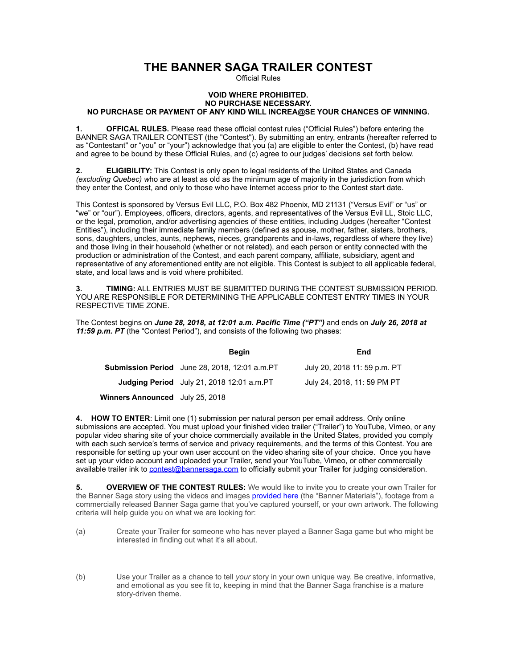# **THE BANNER SAGA TRAILER CONTEST**

Official Rules

#### **VOID WHERE PROHIBITED. NO PURCHASE NECESSARY. NO PURCHASE OR PAYMENT OF ANY KIND WILL INCREA@SE YOUR CHANCES OF WINNING.**

**1. OFFICAL RULES.** Please read these official contest rules ("Official Rules") before entering the BANNER SAGA TRAILER CONTEST (the "Contest"). By submitting an entry, entrants (hereafter referred to as "Contestant" or "you" or "your") acknowledge that you (a) are eligible to enter the Contest, (b) have read and agree to be bound by these Official Rules, and (c) agree to our judges' decisions set forth below.

**2. ELIGIBILITY:** This Contest is only open to legal residents of the United States and Canada *(excluding Quebec) w*ho are at least as old as the minimum age of majority in the jurisdiction from which they enter the Contest, and only to those who have Internet access prior to the Contest start date.

This Contest is sponsored by Versus Evil LLC, P.O. Box 482 Phoenix, MD 21131 ("Versus Evil" or "us" or "we" or "our"). Employees, officers, directors, agents, and representatives of the Versus Evil LL, Stoic LLC, or the legal, promotion, and/or advertising agencies of these entities, including Judges (hereafter "Contest Entities"), including their immediate family members (defined as spouse, mother, father, sisters, brothers, sons, daughters, uncles, aunts, nephews, nieces, grandparents and in-laws, regardless of where they live) and those living in their household (whether or not related), and each person or entity connected with the production or administration of the Contest, and each parent company, affiliate, subsidiary, agent and representative of any aforementioned entity are not eligible. This Contest is subject to all applicable federal, state, and local laws and is void where prohibited.

**3. TIMING:** ALL ENTRIES MUST BE SUBMITTED DURING THE CONTEST SUBMISSION PERIOD. YOU ARE RESPONSIBLE FOR DETERMINING THE APPLICABLE CONTEST ENTRY TIMES IN YOUR RESPECTIVE TIME ZONE.

The Contest begins on *June 28, 2018, at 12:01 a.m. Pacific Time ("PT")* and ends on *July 26, 2018 at 11:59 p.m. PT* (the "Contest Period"), and consists of the following two phases:

|                                        | <b>Begin</b>                                         | End                          |
|----------------------------------------|------------------------------------------------------|------------------------------|
|                                        | <b>Submission Period</b> June 28, 2018, 12:01 a.m.PT | July 20, 2018 11: 59 p.m. PT |
|                                        | <b>Judging Period</b> July 21, 2018 12:01 a.m.PT     | July 24, 2018, 11: 59 PM PT  |
| <b>Winners Announced</b> July 25, 2018 |                                                      |                              |

**4. HOW TO ENTER**: Limit one (1) submission per natural person per email address. Only online submissions are accepted. You must upload your finished video trailer ("Trailer") to YouTube, Vimeo, or any popular video sharing site of your choice commercially available in the United States, provided you comply with each such service's terms of service and privacy requirements, and the terms of this Contest. You are responsible for setting up your own user account on the video sharing site of your choice. Once you have set up your video account and uploaded your Trailer, send your YouTube, Vimeo, or other commercially available trailer ink to [contest@bannersaga.com](mailto:contest@bannersaga.com) to officially submit your Trailer for judging consideration.

**5. OVERVIEW OF THE CONTEST RULES:** We would like to invite you to create your own Trailer for the Banner Saga story using the videos and images **[provided here](https://www.dropbox.com/sh/k2hxdsc6xb77q5k/AABFFq9EiBK49mlROm5NlHI7a?dl=0)** (the "Banner Materials"), footage from a commercially released Banner Saga game that you've captured yourself, or your own artwork. The following criteria will help guide you on what we are looking for:

- (a) Create your Trailer for someone who has never played a Banner Saga game but who might be interested in finding out what it's all about.
- (b) Use your Trailer as a chance to tell *your* story in your own unique way. Be creative, informative, and emotional as you see fit to, keeping in mind that the Banner Saga franchise is a mature story-driven theme.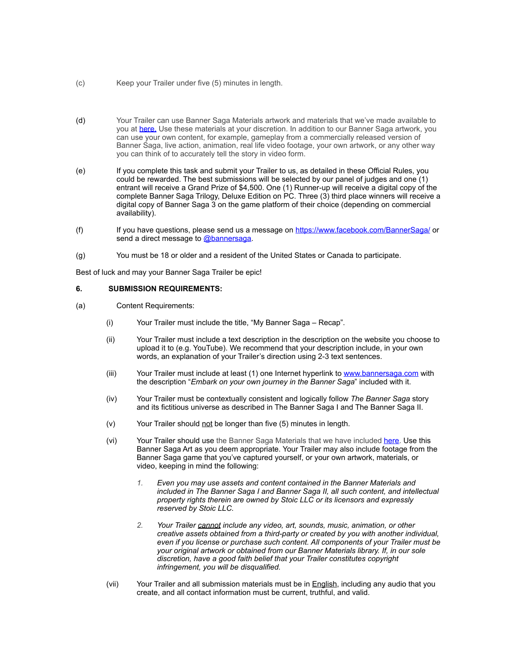- (c) Keep your Trailer under five (5) minutes in length.
- (d) Your Trailer can use Banner Saga Materials artwork and materials that we've made available to you at [here.](https://www.dropbox.com/sh/k2hxdsc6xb77q5k/AABFFq9EiBK49mlROm5NlHI7a?dl=0) Use these materials at your discretion. In addition to our Banner Saga artwork, you can use your own content, for example, gameplay from a commercially released version of Banner Saga, live action, animation, real life video footage, your own artwork, or any other way you can think of to accurately tell the story in video form.
- (e) If you complete this task and submit your Trailer to us, as detailed in these Official Rules, you could be rewarded. The best submissions will be selected by our panel of judges and one (1) entrant will receive a Grand Prize of \$4,500. One (1) Runner-up will receive a digital copy of the complete Banner Saga Trilogy, Deluxe Edition on PC. Three (3) third place winners will receive a digital copy of Banner Saga 3 on the game platform of their choice (depending on commercial availability).
- (f) If you have questions, please send us a message on<https://www.facebook.com/BannerSaga/>or send a direct message to [@bannersaga.](http://www.bannerplaceholder.com/)
- (g) You must be 18 or older and a resident of the United States or Canada to participate.

Best of luck and may your Banner Saga Trailer be epic!

#### **6. SUBMISSION REQUIREMENTS:**

- (a) Content Requirements:
	- (i) Your Trailer must include the title, "My Banner Saga Recap".
	- (ii) Your Trailer must include a text description in the description on the website you choose to upload it to (e.g. YouTube). We recommend that your description include, in your own words, an explanation of your Trailer's direction using 2-3 text sentences.
	- (iii) Your Trailer must include at least (1) one Internet hyperlink to [www.bannersaga.com](http://www.bannersaga.com) with the description "*Embark on your own journey in the Banner Saga*" included with it.
	- (iv) Your Trailer must be contextually consistent and logically follow *The Banner Saga* story and its fictitious universe as described in The Banner Saga I and The Banner Saga II.
	- (v) Your Trailer should not be longer than five (5) minutes in length.
	- (vi) Your Trailer should use the Banner Saga Materials that we have included [here.](https://www.dropbox.com/sh/k2hxdsc6xb77q5k/AABFFq9EiBK49mlROm5NlHI7a?dl=0) Use this Banner Saga Art as you deem appropriate. Your Trailer may also include footage from the Banner Saga game that you've captured yourself, or your own artwork, materials, or video, keeping in mind the following:
		- *1. Even you may use assets and content contained in the Banner Materials and included in The Banner Saga I and Banner Saga II, all such content, and intellectual property rights therein are owned by Stoic LLC or its licensors and expressly reserved by Stoic LLC.*
		- *2. Your Trailer cannot include any video, art, sounds, music, animation, or other creative assets obtained from a third-party or created by you with another individual, even if you license or purchase such content. All components of your Trailer must be your original artwork or obtained from our Banner Materials library. If, in our sole discretion, have a good faith belief that your Trailer constitutes copyright infringement, you will be disqualified.*
	- (vii) Your Trailer and all submission materials must be in **English**, including any audio that you create, and all contact information must be current, truthful, and valid.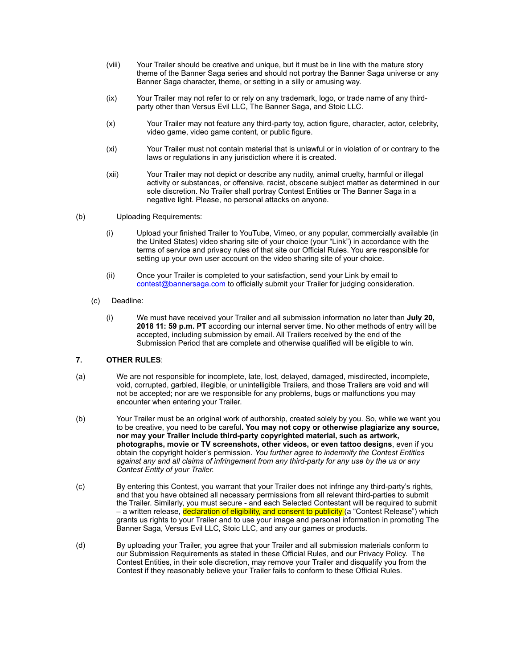- (viii) Your Trailer should be creative and unique, but it must be in line with the mature story theme of the Banner Saga series and should not portray the Banner Saga universe or any Banner Saga character, theme, or setting in a silly or amusing way.
- (ix) Your Trailer may not refer to or rely on any trademark, logo, or trade name of any thirdparty other than Versus Evil LLC, The Banner Saga, and Stoic LLC.
- (x) Your Trailer may not feature any third-party toy, action figure, character, actor, celebrity, video game, video game content, or public figure.
- (xi) Your Trailer must not contain material that is unlawful or in violation of or contrary to the laws or regulations in any jurisdiction where it is created.
- (xii) Your Trailer may not depict or describe any nudity, animal cruelty, harmful or illegal activity or substances, or offensive, racist, obscene subject matter as determined in our sole discretion. No Trailer shall portray Contest Entities or The Banner Saga in a negative light. Please, no personal attacks on anyone.
- (b) Uploading Requirements:
	- (i) Upload your finished Trailer to YouTube, Vimeo, or any popular, commercially available (in the United States) video sharing site of your choice (your "Link") in accordance with the terms of service and privacy rules of that site our Official Rules. You are responsible for setting up your own user account on the video sharing site of your choice.
	- (ii) Once your Trailer is completed to your satisfaction, send your Link by email to [contest@bannersaga.com](mailto:contest@bannersaga.com) to officially submit your Trailer for judging consideration.
	- (c) Deadline:
		- (i) We must have received your Trailer and all submission information no later than **July 20, 2018 11: 59 p.m. PT** according our internal server time. No other methods of entry will be accepted, including submission by email. All Trailers received by the end of the Submission Period that are complete and otherwise qualified will be eligible to win.

## **7. OTHER RULES**:

- (a) We are not responsible for incomplete, late, lost, delayed, damaged, misdirected, incomplete, void, corrupted, garbled, illegible, or unintelligible Trailers, and those Trailers are void and will not be accepted; nor are we responsible for any problems, bugs or malfunctions you may encounter when entering your Trailer.
- (b) Your Trailer must be an original work of authorship, created solely by you. So, while we want you to be creative, you need to be careful**. You may not copy or otherwise plagiarize any source, nor may your Trailer include third-party copyrighted material, such as artwork, photographs, movie or TV screenshots, other videos, or even tattoo designs**, even if you obtain the copyright holder's permission. *You further agree to indemnify the Contest Entities against any and all claims of infringement from any third-party for any use by the us or any Contest Entity of your Trailer.*
- (c) By entering this Contest, you warrant that your Trailer does not infringe any third-party's rights, and that you have obtained all necessary permissions from all relevant third-parties to submit the Trailer. Similarly, you must secure - and each Selected Contestant will be required to submit – a written release, declaration of eligibility, and consent to publicity (a "Contest Release") which grants us rights to your Trailer and to use your image and personal information in promoting The Banner Saga, Versus Evil LLC, Stoic LLC, and any our games or products.
- (d) By uploading your Trailer, you agree that your Trailer and all submission materials conform to our Submission Requirements as stated in these Official Rules, and our Privacy Policy. The Contest Entities, in their sole discretion, may remove your Trailer and disqualify you from the Contest if they reasonably believe your Trailer fails to conform to these Official Rules.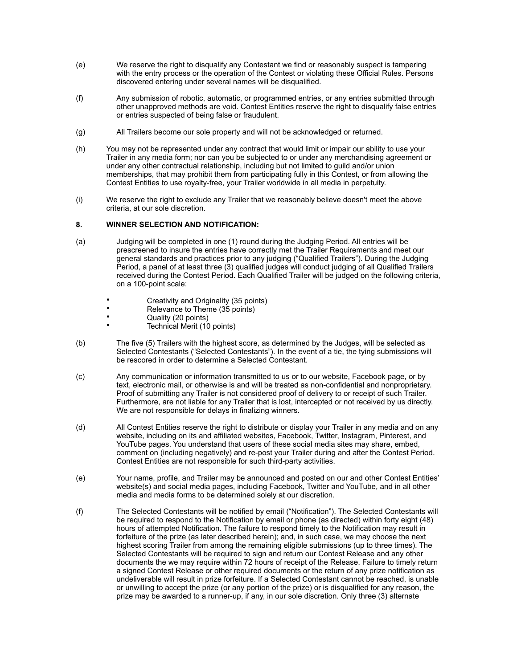- (e) We reserve the right to disqualify any Contestant we find or reasonably suspect is tampering with the entry process or the operation of the Contest or violating these Official Rules. Persons discovered entering under several names will be disqualified.
- (f) Any submission of robotic, automatic, or programmed entries, or any entries submitted through other unapproved methods are void. Contest Entities reserve the right to disqualify false entries or entries suspected of being false or fraudulent.
- (g) All Trailers become our sole property and will not be acknowledged or returned.
- (h) You may not be represented under any contract that would limit or impair our ability to use your Trailer in any media form; nor can you be subjected to or under any merchandising agreement or under any other contractual relationship, including but not limited to guild and/or union memberships, that may prohibit them from participating fully in this Contest, or from allowing the Contest Entities to use royalty-free, your Trailer worldwide in all media in perpetuity.
- (i) We reserve the right to exclude any Trailer that we reasonably believe doesn't meet the above criteria, at our sole discretion.

## **8. WINNER SELECTION AND NOTIFICATION:**

- (a) Judging will be completed in one (1) round during the Judging Period. All entries will be prescreened to insure the entries have correctly met the Trailer Requirements and meet our general standards and practices prior to any judging ("Qualified Trailers"). During the Judging Period, a panel of at least three (3) qualified judges will conduct judging of all Qualified Trailers received during the Contest Period. Each Qualified Trailer will be judged on the following criteria, on a 100-point scale:
	- Creativity and Originality (35 points)
	- Relevance to Theme (35 points)<br>• Cuality (20 points)
	- Quality (20 points)
	- Technical Merit (10 points)
- (b) The five (5) Trailers with the highest score, as determined by the Judges, will be selected as Selected Contestants ("Selected Contestants"). In the event of a tie, the tying submissions will be rescored in order to determine a Selected Contestant.
- (c) Any communication or information transmitted to us or to our website, Facebook page, or by text, electronic mail, or otherwise is and will be treated as non-confidential and nonproprietary. Proof of submitting any Trailer is not considered proof of delivery to or receipt of such Trailer. Furthermore, are not liable for any Trailer that is lost, intercepted or not received by us directly. We are not responsible for delays in finalizing winners.
- (d) All Contest Entities reserve the right to distribute or display your Trailer in any media and on any website, including on its and affiliated websites, Facebook, Twitter, Instagram, Pinterest, and YouTube pages. You understand that users of these social media sites may share, embed, comment on (including negatively) and re-post your Trailer during and after the Contest Period. Contest Entities are not responsible for such third-party activities.
- (e) Your name, profile, and Trailer may be announced and posted on our and other Contest Entities' website(s) and social media pages, including Facebook, Twitter and YouTube, and in all other media and media forms to be determined solely at our discretion.
- (f) The Selected Contestants will be notified by email ("Notification"). The Selected Contestants will be required to respond to the Notification by email or phone (as directed) within forty eight (48) hours of attempted Notification. The failure to respond timely to the Notification may result in forfeiture of the prize (as later described herein); and, in such case, we may choose the next highest scoring Trailer from among the remaining eligible submissions (up to three times). The Selected Contestants will be required to sign and return our Contest Release and any other documents the we may require within 72 hours of receipt of the Release. Failure to timely return a signed Contest Release or other required documents or the return of any prize notification as undeliverable will result in prize forfeiture. If a Selected Contestant cannot be reached, is unable or unwilling to accept the prize (or any portion of the prize) or is disqualified for any reason, the prize may be awarded to a runner-up, if any, in our sole discretion. Only three (3) alternate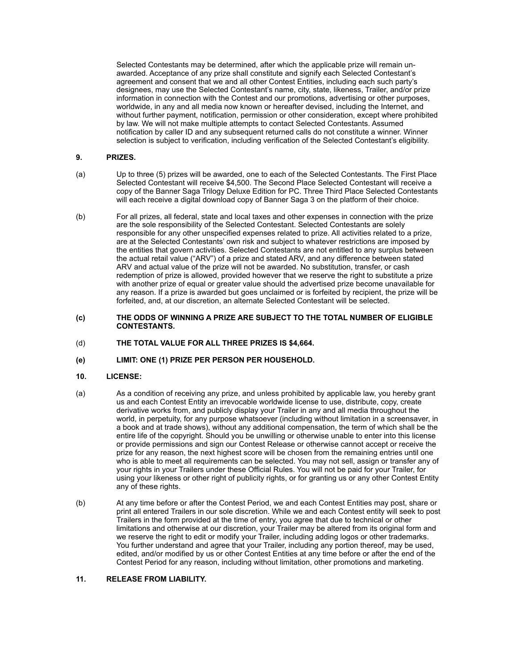Selected Contestants may be determined, after which the applicable prize will remain unawarded. Acceptance of any prize shall constitute and signify each Selected Contestant's agreement and consent that we and all other Contest Entities, including each such party's designees, may use the Selected Contestant's name, city, state, likeness, Trailer, and/or prize information in connection with the Contest and our promotions, advertising or other purposes, worldwide, in any and all media now known or hereafter devised, including the Internet, and without further payment, notification, permission or other consideration, except where prohibited by law. We will not make multiple attempts to contact Selected Contestants. Assumed notification by caller ID and any subsequent returned calls do not constitute a winner. Winner selection is subject to verification, including verification of the Selected Contestant's eligibility.

# **9. PRIZES.**

- (a) Up to three (5) prizes will be awarded, one to each of the Selected Contestants. The First Place Selected Contestant will receive \$4,500. The Second Place Selected Contestant will receive a copy of the Banner Saga Trilogy Deluxe Edition for PC. Three Third Place Selected Contestants will each receive a digital download copy of Banner Saga 3 on the platform of their choice.
- (b) For all prizes, all federal, state and local taxes and other expenses in connection with the prize are the sole responsibility of the Selected Contestant. Selected Contestants are solely responsible for any other unspecified expenses related to prize. All activities related to a prize, are at the Selected Contestants' own risk and subject to whatever restrictions are imposed by the entities that govern activities. Selected Contestants are not entitled to any surplus between the actual retail value ("ARV") of a prize and stated ARV, and any difference between stated ARV and actual value of the prize will not be awarded. No substitution, transfer, or cash redemption of prize is allowed, provided however that we reserve the right to substitute a prize with another prize of equal or greater value should the advertised prize become unavailable for any reason. If a prize is awarded but goes unclaimed or is forfeited by recipient, the prize will be forfeited, and, at our discretion, an alternate Selected Contestant will be selected.

#### **(c) THE ODDS OF WINNING A PRIZE ARE SUBJECT TO THE TOTAL NUMBER OF ELIGIBLE CONTESTANTS.**

- (d) **THE TOTAL VALUE FOR ALL THREE PRIZES IS \$4,664.**
- **(e) LIMIT: ONE (1) PRIZE PER PERSON PER HOUSEHOLD.**

## **10. LICENSE:**

- (a) As a condition of receiving any prize, and unless prohibited by applicable law, you hereby grant us and each Contest Entity an irrevocable worldwide license to use, distribute, copy, create derivative works from, and publicly display your Trailer in any and all media throughout the world, in perpetuity, for any purpose whatsoever (including without limitation in a screensaver, in a book and at trade shows), without any additional compensation, the term of which shall be the entire life of the copyright. Should you be unwilling or otherwise unable to enter into this license or provide permissions and sign our Contest Release or otherwise cannot accept or receive the prize for any reason, the next highest score will be chosen from the remaining entries until one who is able to meet all requirements can be selected. You may not sell, assign or transfer any of your rights in your Trailers under these Official Rules. You will not be paid for your Trailer, for using your likeness or other right of publicity rights, or for granting us or any other Contest Entity any of these rights.
- (b) At any time before or after the Contest Period, we and each Contest Entities may post, share or print all entered Trailers in our sole discretion. While we and each Contest entity will seek to post Trailers in the form provided at the time of entry, you agree that due to technical or other limitations and otherwise at our discretion, your Trailer may be altered from its original form and we reserve the right to edit or modify your Trailer, including adding logos or other trademarks. You further understand and agree that your Trailer, including any portion thereof, may be used, edited, and/or modified by us or other Contest Entities at any time before or after the end of the Contest Period for any reason, including without limitation, other promotions and marketing.

## **11. RELEASE FROM LIABILITY.**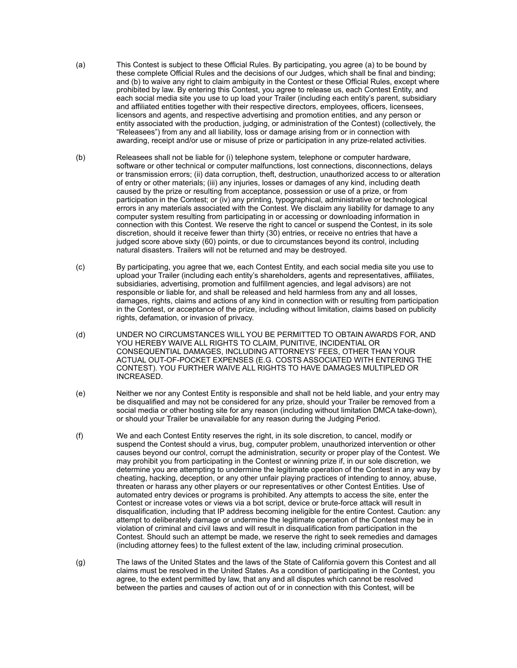- (a) This Contest is subject to these Official Rules. By participating, you agree (a) to be bound by these complete Official Rules and the decisions of our Judges, which shall be final and binding; and (b) to waive any right to claim ambiguity in the Contest or these Official Rules, except where prohibited by law. By entering this Contest, you agree to release us, each Contest Entity, and each social media site you use to up load your Trailer (including each entity's parent, subsidiary and affiliated entities together with their respective directors, employees, officers, licensees, licensors and agents, and respective advertising and promotion entities, and any person or entity associated with the production, judging, or administration of the Contest) (collectively, the "Releasees") from any and all liability, loss or damage arising from or in connection with awarding, receipt and/or use or misuse of prize or participation in any prize-related activities.
- (b) Releasees shall not be liable for (i) telephone system, telephone or computer hardware, software or other technical or computer malfunctions, lost connections, disconnections, delays or transmission errors; (ii) data corruption, theft, destruction, unauthorized access to or alteration of entry or other materials; (iii) any injuries, losses or damages of any kind, including death caused by the prize or resulting from acceptance, possession or use of a prize, or from participation in the Contest; or (iv) any printing, typographical, administrative or technological errors in any materials associated with the Contest. We disclaim any liability for damage to any computer system resulting from participating in or accessing or downloading information in connection with this Contest. We reserve the right to cancel or suspend the Contest, in its sole discretion, should it receive fewer than thirty (30) entries, or receive no entries that have a judged score above sixty (60) points, or due to circumstances beyond its control, including natural disasters. Trailers will not be returned and may be destroyed.
- (c) By participating, you agree that we, each Contest Entity, and each social media site you use to upload your Trailer (including each entity's shareholders, agents and representatives, affiliates, subsidiaries, advertising, promotion and fulfillment agencies, and legal advisors) are not responsible or liable for, and shall be released and held harmless from any and all losses, damages, rights, claims and actions of any kind in connection with or resulting from participation in the Contest, or acceptance of the prize, including without limitation, claims based on publicity rights, defamation, or invasion of privacy.
- (d) UNDER NO CIRCUMSTANCES WILL YOU BE PERMITTED TO OBTAIN AWARDS FOR, AND YOU HEREBY WAIVE ALL RIGHTS TO CLAIM, PUNITIVE, INCIDENTIAL OR CONSEQUENTIAL DAMAGES, INCLUDING ATTORNEYS' FEES, OTHER THAN YOUR ACTUAL OUT-OF-POCKET EXPENSES (E.G. COSTS ASSOCIATED WITH ENTERING THE CONTEST). YOU FURTHER WAIVE ALL RIGHTS TO HAVE DAMAGES MULTIPLED OR INCREASED.
- (e) Neither we nor any Contest Entity is responsible and shall not be held liable, and your entry may be disqualified and may not be considered for any prize, should your Trailer be removed from a social media or other hosting site for any reason (including without limitation DMCA take-down), or should your Trailer be unavailable for any reason during the Judging Period.
- (f) We and each Contest Entity reserves the right, in its sole discretion, to cancel, modify or suspend the Contest should a virus, bug, computer problem, unauthorized intervention or other causes beyond our control, corrupt the administration, security or proper play of the Contest. We may prohibit you from participating in the Contest or winning prize if, in our sole discretion, we determine you are attempting to undermine the legitimate operation of the Contest in any way by cheating, hacking, deception, or any other unfair playing practices of intending to annoy, abuse, threaten or harass any other players or our representatives or other Contest Entities. Use of automated entry devices or programs is prohibited. Any attempts to access the site, enter the Contest or increase votes or views via a bot script, device or brute-force attack will result in disqualification, including that IP address becoming ineligible for the entire Contest. Caution: any attempt to deliberately damage or undermine the legitimate operation of the Contest may be in violation of criminal and civil laws and will result in disqualification from participation in the Contest. Should such an attempt be made, we reserve the right to seek remedies and damages (including attorney fees) to the fullest extent of the law, including criminal prosecution.
- (g) The laws of the United States and the laws of the State of California govern this Contest and all claims must be resolved in the United States. As a condition of participating in the Contest, you agree, to the extent permitted by law, that any and all disputes which cannot be resolved between the parties and causes of action out of or in connection with this Contest, will be